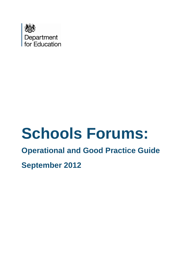

# **Schools Forums:**

# **Operational and Good Practice Guide**

**September 2012**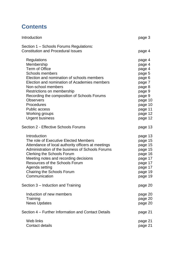# **Contents**

| Introduction                                                                                                                                                                                                                                                                                                                                                          | page 3                                                                                                                                        |
|-----------------------------------------------------------------------------------------------------------------------------------------------------------------------------------------------------------------------------------------------------------------------------------------------------------------------------------------------------------------------|-----------------------------------------------------------------------------------------------------------------------------------------------|
| Section 1 – Schools Forums Regulations:<br><b>Constitution and Procedural Issues</b>                                                                                                                                                                                                                                                                                  | page 4                                                                                                                                        |
| Regulations<br>Membership<br>Term of Office<br>Schools members<br>Election and nomination of schools members<br>Election and nomination of Academies members<br>Non-school members<br>Restrictions on membership<br>Recording the composition of Schools Forums<br><b>Observers</b><br>Procedures<br><b>Public access</b><br>Working groups<br><b>Urgent business</b> | page 4<br>page 4<br>page 4<br>page 5<br>page 6<br>page 7<br>page 8<br>page 9<br>page 9<br>page 10<br>page 10<br>page 11<br>page 12<br>page 12 |
| Section 2 - Effective Schools Forums                                                                                                                                                                                                                                                                                                                                  | page 13                                                                                                                                       |
| Introduction<br>The role of Executive Elected Members<br>Attendance of local authority officers at meetings<br>Administration of the business of Schools Forums<br><b>Clerking the Schools Forum</b><br>Meeting notes and recording decisions<br><b>Resources of the Schools Forum</b><br>Agenda setting<br>Chairing the Schools Forum<br>Communication               | page 13<br>page 15<br>page 15<br>page 15<br>page 16<br>page 17<br>page 17<br>page 17<br>page 19<br>page 19                                    |
| Section 3 – Induction and Training                                                                                                                                                                                                                                                                                                                                    | page 20                                                                                                                                       |
| Induction of new members<br>Training<br><b>News Updates</b>                                                                                                                                                                                                                                                                                                           | page 20<br>page 20<br>page 20                                                                                                                 |
| Section 4 – Further Information and Contact Details                                                                                                                                                                                                                                                                                                                   | page 21                                                                                                                                       |
| Web links<br><b>Contact details</b>                                                                                                                                                                                                                                                                                                                                   | page 21<br>page 21                                                                                                                            |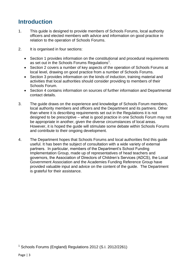# **Introduction**

- 1. This guide is designed to provide members of Schools Forums, local authority officers and elected members with advice and information on good practice in relation to the operation of Schools Forums.
- 2. It is organised in four sections:
	- Section 1 provides information on the constitutional and procedural requirements as set out in the Schools Forums Regulations<sup>1</sup>.
	- Section 2 covers a number of key aspects of the operation of Schools Forums at local level, drawing on good practice from a number of Schools Forums.
	- Section 3 provides information on the kinds of induction, training material and activities that local authorities should consider providing to members of their Schools Forum.
	- Section 4 contains information on sources of further information and Departmental contact details.
- 3. The guide draws on the experience and knowledge of Schools Forum members, local authority members and officers and the Department and its partners. Other than where it is describing requirements set out in the Regulations it is not designed to be prescriptive – what is good practice in one Schools Forum may not be appropriate in another, given the diverse circumstances of local areas. However, it is hoped the guide will stimulate some debate within Schools Forums and contribute to their ongoing development.
- 4. The Department hopes that Schools Forums and local authorities find this guide useful. It has been the subject of consultation with a wide variety of external partners. In particular, members of the Department's School Funding Implementation Group, made up of representatives of head teachers and governors, the Association of Directors of Children's Services (ADCS), the Local Government Association and the Academies Funding Reference Group have provided valuable input and advice on the content of the guide. The Department is grateful for their assistance.

<sup>&</sup>lt;sup>1</sup> Schools Forums (England) Regulations 2012 (S.I. 2012/2261)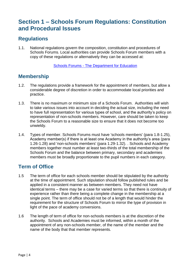# **Section 1 – Schools Forum Regulations: Constitution and Procedural Issues**

# **Regulations**

1.1. National regulations govern the composition, constitution and procedures of Schools Forums. Local authorities can provide Schools Forum members with a copy of these regulations or alternatively they can be accessed at:

Schools Forums - [The Department for Education](http://www.education.gov.uk/schools/adminandfinance/financialmanagement/schoolsrevenuefunding/schoolsforums/a00213728/schools-forums-england-regs-2012)

# **Membership**

- 1.2. The regulations provide a framework for the appointment of members, but allow a considerable degree of discretion in order to accommodate local priorities and practice.
- 1.3. There is no maximum or minimum size of a Schools Forum. Authorities will wish to take various issues into account in deciding the actual size, including the need to have full representation for various types of school, and the authority's policy on representation of non-schools members. However, care should be taken to keep the Schools Forum to a reasonable size to ensure that it does not become too unwieldy.
- 1.4. Types of member. Schools Forums must have 'schools members' (para 1.8-1.25), Academy member(s) if there is at least one Academy in the authority's area (para 1.26-1.28) and 'non-schools members' (para 1.29-1.32). . Schools and Academy members together must number at least two-thirds of the total membership of the Schools Forum and the balance between primary, secondary and academies members must be broadly proportionate to the pupil numbers in each category.

# **Term of Office**

- 1.5 The term of office for each schools member should be stipulated by the authority at the time of appointment. Such stipulation should follow published rules and be applied in a consistent manner as between members. They need not have identical terms – there may be a case for varied terms so that there is continuity of experience rather than there being a complete change in the membership at a single point. The term of office should not be of a length that would hinder the requirement for the structure of Schools Forum to mirror the type of provision in light of the pace of academy conversions.
- 1.6 The length of term of office for non-schools members is at the discretion of the authority. Schools and Academies must be informed, within a month of the appointment of any non-schools member, of the name of the member and the name of the body that that member represents.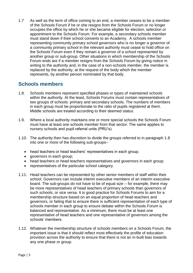1.7 As well as the term of office coming to an end, a member ceases to be a member of the Schools Forum if he or she resigns from the Schools Forum or no longer occupies the office by which he or she became eligible for election, selection or appointment to the Schools Forum. For example, a secondary schools member must stand down if their school converts to an Academy. A schools member representing community primary school governors who is no longer a governor of a community primary school in the relevant authority must cease to hold office on the Schools Forum even if they remain a governor of a school represented by another group or sub-group. Other situations in which membership of the Schools Forum ends are if a member resigns from the Schools Forum by giving notice in writing to the authority and, in the case of a non-schools member, the member is replaced by the authority, at the request of the body which the member represents, by another person nominated by that body.

## **Schools members**

- 1.8. Schools members represent specified phases or types of maintained schools within the authority. At the least, Schools Forums must contain representatives of two groups of schools: primary and secondary schools. The numbers of members in each group must be proportionate to the ratio of pupils registered at them. Middle schools are treated according to their deemed status.
- 1.9. Where a local authority maintains one or more special schools the Schools Forum must have at least one schools member from that sector. The same applies to nursery schools and pupil referral units (PRU's).
- 1.10. The authority then has discretion to divide the groups referred to in paragraph 1.8 into one or more of the following sub-groups–
	- head teachers or head teachers' representatives in each group;
	- governors in each group;
	- head teachers or head teachers representatives and governors in each group;
	- representatives of the particular school category.
- 1.11. Head teachers can be represented by other senior members of staff within their school. Governors can include interim executive members of an interim executive board. The sub-groups do not have to be of equal size – for example, there may be more representatives of head teachers of primary schools than governors of such schools, or vice versa. It is good practice for Schools Forums to aim for a membership structure based on an equal proportion of head teachers and governors, or failing that to ensure there is sufficient representation of each type of schools member in each group to ensure debate within the Schools Forum is balanced and representative. As a minimum, there must be at least one representative of head teachers and one representative of governors among the schools' members.
- 1.12. Whatever the membership structure of schools members on a Schools Forum, the important issue is that it should reflect most effectively the profile of education provision across the authority to ensure that there is not an in-built bias towards any one phase or group.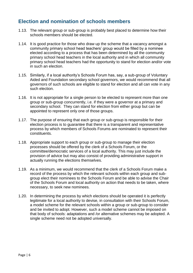#### **Election and nomination of schools members**

- 1.13. The relevant group or sub-group is probably best placed to determine how their schools members should be elected.
- 1.14. It is good practice for those who draw up the scheme that a vacancy amongst a community primary school head teachers' group would be filled by a nominee elected according to a process that has been determined by all the community primary school head teachers in the local authority and in which all community primary school head teachers had the opportunity to stand for election and/or vote in such an election.
- 1.15. Similarly, if a local authority's Schools Forum has, say, a sub-group of Voluntary Aided and Foundation secondary school governors, we would recommend that all governors of such schools are eligible to stand for election and all can vote in any such election.
- 1.16. It is not appropriate for a single person to be elected to represent more than one group or sub-group concurrently, i.e. if they were a governor at a primary and secondary school. They can stand for election from either group but can be appointed to represent only one of those groups.
- 1.17. The purpose of ensuring that each group or sub-group is responsible for their election process is to guarantee that there is a transparent and representative process by which members of Schools Forums are nominated to represent their constituents.
- 1.18. Appropriate support to each group or sub-group to manage their election processes should be offered by the clerk of a Schools Forum, or the committee/democratic services of a local authority. This may just include the provision of advice but may also consist of providing administrative support in actually running the elections themselves.
- 1.19. As a minimum, we would recommend that the clerk of a Schools Forum make a record of the process by which the relevant schools within each group and subgroup elect their nominees to the Schools Forum and be able to advise the Chair of the Schools Forum and local authority on action that needs to be taken, where necessary, to seek new nominees.
- 1.20. In determining the process by which elections should be operated it is perfectly legitimate for a local authority to devise, in consultation with their Schools Forum, a model scheme for the relevant schools within a group or sub-group to consider and be invited to adopt. However, such a model scheme cannot be imposed on that body of schools: adaptations and /or alternative schemes may be adopted. A single scheme need not be adopted universally.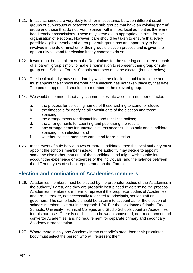- 1.21. In fact, schemes are very likely to differ in substance between different sized groups or sub-groups or between those sub-groups that have an existing 'parent' group and those that do not. For instance, within most local authorities there are head teacher associations. These may serve as an appropriate vehicle for the organisation of elections. However, care should be taken to ensure that every possible eligible member of a group or sub-group has an opportunity to be involved in the determination of their group's election process and is given the opportunity to stand for election if they choose to do so.
- 1.22. It would not be compliant with the Regulations for the steering committee or chair of a 'parent' group simply to make a nomination to represent their group or subgroup on a Schools Forum. Schools members must be elected (but see below).
- 1.23. The local authority may set a date by which the election should take place and must appoint the schools member if the election has not taken place by that date. The person appointed should be a member of the relevant group.
- 1.24. We would recommend that any scheme takes into account a number of factors;
	- a. the process for collecting names of those wishing to stand for election;
	- b. the timescale for notifying all constituents of the election and those standing;
	- c. the arrangements for dispatching and receiving ballots;
	- d. the arrangements for counting and publicising the results;
	- e. any arrangements for unusual circumstances such as only one candidate standing in an election; and
	- f. whether existing members can stand for re-election.
- 1.25. In the event of a tie between two or more candidates, then the local authority must appoint the schools member instead. The authority may decide to appoint someone else rather than one of the candidates and might wish to take into account the experience or expertise of the individuals, and the balance between the different types of school represented on the Forum.

## **Election and nomination of Academies members**

- 1.26. Academies members must be elected by the proprietor bodies of the Academies in the authority's area, and they are probably best placed to determine the process. Academies members are there to represent the proprietor bodies of Academies and are, therefore, not necessarily restricted to principals, senior staff or governors. The same factors should be taken into account as for the election of schools members, set out in paragraph 1.24. For the avoidance of doubt, Free Schools, University Technical Colleges and Studio Schools count as Academies for this purpose. There is no distinction between sponsored, non-recoupment and convertor Academies, and no requirement for separate primary and secondary Academy representation.
- 1.27. Where there is only one Academy in the authority's area, then their proprietor body must select the person who will represent them.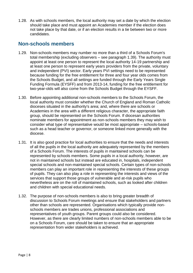1.28. As with schools members, the local authority may set a date by which the election should take place and must appoint an Academies member if the election does not take place by that date, or if an election results in a tie between two or more candidates.

## **Non-schools members**

- 1.29. Non-schools members may number no more than a third of a Schools Forum's total membership (excluding observers – see paragraph 1.39). The authority must appoint at least one person to represent the local authority 14-19 partnership and at least one person to represent early years providers from the private, voluntary and independent (PVI) sector. Early years PVI settings need to be represented because funding for the free entitlement for three and four year olds comes from the Schools Budget, and all settings are funded through the Early Years Single Funding Formula (EYSFF) and from 2013-14, funding for the free entitlement for two-year-olds will also come from the Schools Budget through the EYSFF.
- 1.30. Before appointing additional non-schools members to the Schools Forum, the local authority must consider whether the Church of England and Roman Catholic dioceses situated in the authority's area; and, where there are schools or Academies in the area with a different religious character, the appropriate faith group, should be represented on the Schools Forum. If diocesan authorities nominate members for appointment as non-schools members they may wish to consider what type of representative would be most appropriate – schools-based such as a head teacher or governor, or someone linked more generally with the diocese.
- 1.31. It is also good practice for local authorities to ensure that the needs and interests of all the pupils in the local authority are adequately represented by the members of a Schools Forum. The interests of pupils in maintained schools can be represented by schools members. Some pupils in a local authority, however, are not in maintained schools but instead are educated in, hospitals, independent special schools and non-maintained special schools. Certain types of non-schools members can play an important role in representing the interests of these groups of pupils. They can also play a role in representing the interests and views of the services that support those groups of vulnerable and at-risk pupils who nevertheless are on the roll of maintained schools, such as looked after children and children with special educational needs.
- 1.32. The purpose of non-schools members is also to bring greater breadth of discussion to Schools Forum meetings and ensure that stakeholders and partners other than schools are represented. Organisations which typically provide nonschools members are trades unions, professional associations and representatives of youth groups. Parent groups could also be considered. However, as there are clearly limited numbers of non-schools members able to be on a Schools Forum, care should be taken to ensure that an appropriate representation from wider stakeholders is achieved.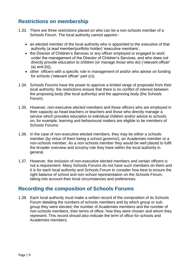# **Restrictions on membership**

- 1.33. There are three restrictions placed on who can be a non-schools member of a Schools Forum. The local authority cannot appoint:-
	- an elected member of the local authority who is appointed to the executive of that authority (a lead member/portfolio holder) 'executive members',
	- the Director of Children's Services or any officer employed or engaged to work under the management of the Director of Children's Services, and who does not directly provide education to children (or manage those who do) ('relevant officer' (a) and (b)),
	- other officers with a specific role in management of and/or who advise on funding for schools ('relevant officer' part (c)).
- 1.34. Schools Forums have the power to approve a limited range of proposals from their local authority: the restrictions ensure that there is no conflict of interest between the proposing body (the local authority) and the approving body (the Schools Forum).
- 1.35. However, non-executive elected members and those officers who are employed in their capacity as head teachers or teachers and those who directly manage a service which provides education to individual children and/or advice to schools on, for example, learning and behavioural matters are eligible to be members of Schools Forums.
- 1.36. In the case of non-executive elected members, they may be either a schools member (by virtue of them being a school governor), an Academies member or a non-schools member. As a non-schools member they would be well placed to fulfil the broader overview and scrutiny role they have within the local authority in general.
- 1.37. However, the inclusion of non-executive elected members and certain officers is not a requirement. Many Schools Forums do not have such members on them and it is for each local authority and Schools Forum to consider how best to ensure the right balance of school and non-school representation on the Schools Forum, taking into account their local circumstances and preferences.

## **Recording the composition of Schools Forums**

1.38. Each local authority must make a written record of the composition of its Schools Forum detailing the numbers of schools members and by which group or subgroup they were elected, the number of Academies members and the number of non-schools members, their terms of office, how they were chosen and whom they represent. This record should also indicate the term of office for schools and Academies members.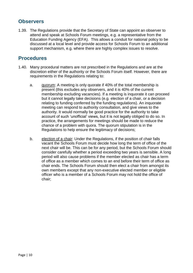#### **Observers**

1.39. The Regulations provide that the Secretary of State can appoint an observer to attend and speak at Schools Forum meetings, e.g. a representative from the Education Funding Agency (EFA). This allows a conduit for national policy to be discussed at a local level and provide access for Schools Forum to an additional support mechanism, e.g. where there are highly complex issues to resolve.

#### **Procedures**

- 1.40. Many procedural matters are not prescribed in the Regulations and are at the discretion either of the authority or the Schools Forum itself. However, there are requirements in the Regulations relating to:
	- a. quorum: A meeting is only quorate if 40% of the total membership is present (this excludes any observers, and it is 40% of the current membership excluding vacancies). If a meeting is inquorate it can proceed but it cannot legally take decisions (e.g. election of a chair, or a decision relating to funding conferred by the funding regulations). An inquorate meeting can respond to authority consultation, and give views to the authority. It would normally be good practice for the authority to take account of such 'unofficial' views, but it is not legally obliged to do so. In practice, the arrangements for meetings should be made to reduce the chance of a problem with quora. The quorum stipulation is in the Regulations to help ensure the legitimacy of decisions;
	- b. election of a chair: Under the Regulations, if the position of chair falls vacant the Schools Forum must decide how long the term of office of the next chair will be. This can be for any period, but the Schools Forum should consider carefully whether a period exceeding two years is sensible. A long period will also cause problems if the member elected as chair has a term of office as a member which comes to an end before their term of office as chair ends. The Schools Forum should then elect a chair from amongst its own members except that any non-executive elected member or eligible officer who is a member of a Schools Forum may not hold the office of chair;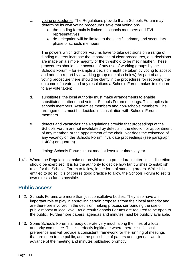- c. voting procedures: The Regulations provide that a Schools Forum may determine its own voting procedures save that voting on:-
	- the funding formula is limited to schools members and PVI representatives
	- de-delegation will be limited to the specific primary and secondary phase of schools members.

The powers which Schools Forums have to take decisions on a range of funding matters increase the importance of clear procedures, e.g. decisions are made on a simple majority or the threshold to be met if higher. These procedures should take account of any use of working groups by the Schools Forum – for example a decision might be taken by voting to accept and adopt a report by a working group (see also below).As part of any voting procedure there should be clarity in the procedures for recording the outcome of a vote, and any resolutions a Schools Forum makes in relation to any vote taken;

- d. substitutes: the local authority must make arrangements to enable substitutes to attend and vote at Schools Forum meetings. This applies to schools members, Academies members and non-schools members. The arrangements must be decided in consultation with Schools Forum members.
- e. defects and vacancies: the Regulations provide that proceedings of the Schools Forum are not invalidated by defects in the election or appointment of any member, or the appointment of the chair. Nor does the existence of any vacancy on the Schools Forum invalidate proceedings (see paragraph 1.40(a) on quorum).
- f. timing: Schools Forums must meet at least four times a year
- 1.41. Where the Regulations make no provision on a procedural matter, local discretion should be exercised. It is for the authority to decide how far it wishes to establish rules for the Schools Forum to follow, in the form of standing orders. While it is entitled to do so, it is of course good practice to allow the Schools Forum to set its own rules so far as possible.

#### **Public access**

- 1.42. Schools Forums are more than just consultative bodies. They also have an important role to play in approving certain proposals from their local authority and are therefore involved in the decision making process surrounding the use of public money at local level. As a result Schools Forums are required to be open to the public. Furthermore papers, agendas and minutes must be publicly available.
- 1.43. Some Schools Forums already operate very much along the lines of a local authority committee. This is perfectly legitimate where there is such local preference and will provide a consistent framework for the running of meetings that are open to the public, and the publishing of papers and agendas well in advance of the meeting and minutes published promptly.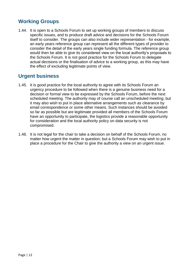# **Working Groups**

1.44. It is open to a Schools Forum to set up working groups of members to discuss specific issues, and to produce draft advice and decisions for the Schools Forum itself to consider. The groups can also include wider representation - for example, an early years reference group can represent all the different types of provider to consider the detail of the early years single funding formula. The reference group would then be able to give its considered view on the local authority's proposals to the Schools Forum. It is not good practice for the Schools Forum to delegate actual decisions or the finalisation of advice to a working group, as this may have the effect of excluding legitimate points of view.

# **Urgent business**

- 1.45. It is good practice for the local authority to agree with its Schools Forum an urgency procedure to be followed when there is a genuine business need for a decision or formal view to be expressed by the Schools Forum, before the next scheduled meeting. The authority may of course call an unscheduled meeting; but it may also wish to put in place alternative arrangements such as clearance by email correspondence or some other means. Such instances should be avoided so far as possible but are legitimate provided all members of the Schools Forum have an opportunity to participate, the logistics provide a reasonable opportunity for consideration and the local authority policy on data security is not compromised.
- 1.46. It is not legal for the chair to take a decision on behalf of the Schools Forum, no matter how urgent the matter in question; but a Schools Forum may wish to put in place a procedure for the Chair to give the authority a view on an urgent issue.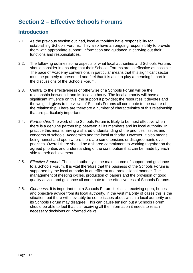# **Section 2 – Effective Schools Forums**

#### **Introduction**

- 2.1. As the previous section outlined, local authorities have responsibility for establishing Schools Forums. They also have an ongoing responsibility to provide them with appropriate support, information and guidance in carrying out their functions and responsibilities.
- 2.2. The following outlines some aspects of what local authorities and Schools Forums should consider in ensuring that their Schools Forums are as effective as possible. The pace of Academy conversions in particular means that this significant sector must be properly represented and feel that it is able to play a meaningful part in the discussions of the Schools Forum.
- 2.3. Central to the effectiveness or otherwise of a Schools Forum will be the relationship between it and its local authority. The local authority will have a significant influence on this: the support it provides; the resources it devotes and the weight it gives to the views of Schools Forums all contribute to the nature of the relationship. There are therefore a number of characteristics of this relationship that are particularly important:
- 2.4. *Partnership*: The work of the Schools Forum is likely to be most effective when there is a genuine partnership between all its members and its local authority. In practice this means having a shared understanding of the priorities, issues and concerns of schools, Academies and the local authority. However, it also means being honest and open where there are some tensions or disagreements over priorities. Overall there should be a shared commitment to working together on the agreed priorities and understanding of the contribution that can be made by each side to their achievement.
- 2.5. *Effective Support*: The local authority is the main source of support and guidance to a Schools Forum. It is vital therefore that the business of the Schools Forum is supported by the local authority in an efficient and professional manner. The management of meeting cycles, production of papers and the provision of good quality advice and guidance all contribute to the effectiveness of Schools Forums.
- 2.6. *Openness*: It is important that a Schools Forum feels it is receiving open, honest and objective advice from its local authority. In the vast majority of cases this is the situation, but there will inevitably be some issues about which a local authority and its Schools Forum may disagree. This can cause tension but a Schools Forum should be able to feel that it is receiving all the information it needs to reach necessary decisions or informed views.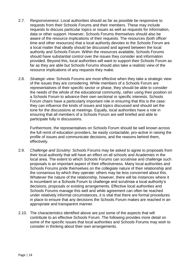- 2.7. *Responsiveness*: Local authorities should as far as possible be responsive to requests from their Schools Forums and their members. These may include requests to discuss particular topics or issues as well as requests for information, data or other support. However, Schools Forums themselves should also be aware of the resource implications of their requests. The resources (both officer time and other resources) that a local authority devotes to the Schools Forum are a local matter that ideally should be discussed and agreed between the local authority and Schools Forum. Within the resources available, Schools Forums should have substantial control over the issues they consider and information provided. Beyond this, local authorities will want to support their Schools Forum as far as they are able but Schools Forums should also take a realistic view of the resource implications of any requests they make.
- 2.8. *Strategic view*: Schools Forums are most effective when they take a strategic view of the issues they are considering. While members of a Schools Forum are representatives of their specific sector or phase, they should be able to consider the needs of the whole of the educational community, rather using their position on a Schools Forum to advance their own sectional or specific interests. Schools Forum chairs have a particularly important role in ensuring that this is the case: they can influence the kinds of issues and topics discussed and should set the tone for the discussions at meetings. Equally, local authorities have a role in ensuring that all members of a Schools Forum are well briefed and able to participate fully in discussions.

Furthermore, the representatives on Schools Forum should be well known across the full remit of education providers, be easily contactable, pro-active in raising the profile of issues and communicate decisions, and the reasons behind them, effectively.

- 2.9. *Challenge and Scrutiny*: Schools Forums may be asked to agree to proposals from their local authority that will have an effect on all schools and Academies in the local area. The extent to which Schools Forums can scrutinise and challenge such proposals is an important aspect of their effectiveness. Many local authorities and Schools Forums pride themselves on the collegiate nature of their relationship and the consensus by which they operate: others may be less concerned about this. Whatever the nature of the relationship, however, there will be instances where it is incumbent on a Schools Forum to challenge and scrutinise a local authority's decisions, proposals or existing arrangements. Effective local authorities and Schools Forums manage this well and while agreement can often be reached under relatively informal circumstances, it is vital that there are formal procedures in place to ensure that any decisions the Schools Forum makes are reached in an appropriate and transparent manner.
- 2.10. The characteristics identified above are just some of the aspects that will contribute to an effective Schools Forum. The following provides more detail on some of the specific issues that local authorities and Schools Forums may wish to consider in thinking about their own arrangements.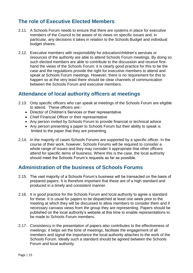# **The role of Executive Elected Members**

- 2.11. A Schools Forum needs to ensure that there are systems in place for executive members of the Council to be aware of its views on specific issues and, in particular, any decisions it takes in relation to the Schools Budget and individual budget shares.
- 2.12. Executive members with responsibility for education/children's services or resources of the authority are able to attend Schools Forum meetings. By doing so such elected members are able to contribute to the discussion and receive firsthand the views of the Schools Forum: it is clearly good practice for this to be the case and the regulations provide the right for executive members to attend and speak at Schools Forum meetings. However, there is no requirement for this to happen so at the very least there should be clear channels of communication between the Schools Forum and executive members.

# **Attendance of local authority officers at meetings**

- 2.13. Only specific officers who can speak at meetings of the Schools Forum are eligible to attend. These officers are:-
	- Director of Children's Services or their representative
	- Chief Financial Officer or their representative
	- Any person invited by Schools Forum to provide financial or technical advice
	- Any person presenting a paper to Schools Forum but their ability to speak is limited to the paper that they are presenting.
- 2.14. In the majority of cases Schools Forums are supported by a specific officer. In the course of their work, however, Schools Forums will be required to consider a whole range of issues and they may consider it appropriate that other officers attend for specific items of business. Where this is the case, the local authority should meet the Schools Forum's requests as far as possible.

#### **Administration of the business of Schools Forums**

- 2.15. The vast majority of a Schools Forum's business will be transacted on the basis of prepared papers. It is therefore important that these are of a high standard and produced in a timely and consistent manner.
- 2.16. It is good practice for the Schools Forum and local authority to agree a standard for these. It is usual for papers to be dispatched at least one week prior to the meeting at which they will be discussed to allow members to consider them and if necessary canvass views from the group they are representing. Papers should be published on the local authority's website at this time to enable representations to be made to Schools Forum members.
- 2.17. Consistency in the presentation of papers also contributes to the effectiveness of meetings: it helps set the tone of meetings, facilitate the engagement of all members and signal the importance the local authority attaches to the work of the Schools Forum. Ideally such a standard should be agreed between the Schools Forum and local authority.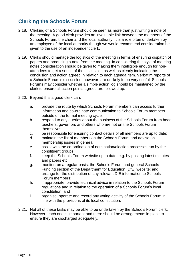# **Clerking the Schools Forum**

- 2.18. Clerking of a Schools Forum should be seen as more than just writing a note of the meeting. A good clerk provides an invaluable link between the members of the Schools Forum, the chair and the local authority. It is a role often undertaken by an employee of the local authority though we would recommend consideration be given to the use of an independent clerk.
- 2.19. Clerks should manage the logistics of the meeting in terms of ensuring dispatch of papers and producing a note from the meeting. In considering the style of meeting notes consideration should be given to making them intelligible enough for nonattendees to get a sense of the discussion as well as clearly indicating the conclusion and action agreed in relation to each agenda item. Verbatim reports of a Schools Forum's discussion, however, are unlikely to be very useful. Schools Forums may consider whether a simple action log should be maintained by the clerk to ensure all action points agreed are followed up.
- 2.20. Beyond this a good clerk can:
	- a. provide the route by which Schools Forum members can access further information and co-ordinate communication to Schools Forum members outside of the formal meeting cycle;
	- b. respond to any queries about the business of the Schools Forum from head teachers, governors and others who are not on the Schools Forum themselves;
	- c. be responsible for ensuring contact details of all members are up to date;
	- d. maintain the list of members on the Schools Forum and advise on membership issues in general;
	- e. assist with the co-ordination of nomination/election processes run by the constituent groups;
	- f. keep the Schools Forum website up to date: e.g. by posting latest minutes and papers etc;
	- g. monitor, on a regular basis, the Schools Forum and general Schools Funding section of the Department for Education (DfE) website; and arrange for the distribution of any relevant DfE information to Schools Forum members;
	- h. if appropriate, provide technical advice in relation to the Schools Forum regulations and in relation to the operation of a Schools Forum's local constitution; and
	- i. organise, operate and record any voting activity of the Schools Forum in line with the provisions of its local constitution.
- 2.21. Not all of these tasks may be able to be undertaken by the Schools Forum clerk. However, each one is important and there should be arrangements in place to ensure they are discharged adequately.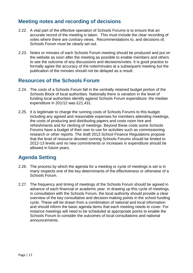## **Meeting notes and recording of decisions**

- 2.22. A vital part of the effective operation of Schools Forums is to ensure that an accurate record of the meeting is taken. This must include the clear recording of votes where there are contrary views. Recommendations to, and decisions of, Schools Forum must be clearly set out.
- 2.23. Notes or minutes of each Schools Forum meeting should be produced and put on the website as soon after the meeting as possible to enable members and others to see the outcome of any discussions and decisions/votes. It is good practice to formally agree the accuracy of the note/minutes at a subsequent meeting but the publication of the minutes should not be delayed as a result.

#### **Resources of the Schools Forum**

- 2.24. The costs of a Schools Forum fall in the centrally retained budget portion of the Schools Block of local authorities. Nationally there is variation in the level of funding local authorities identify against Schools Forum expenditure: the median expenditure in 201/12 was £21,431.
- 2.25. It is legitimate to charge the running costs of Schools Forums to this budget including any agreed and reasonable expenses for members attending meetings, the costs of producing and distributing papers and costs room hire and refreshments and for clerking of meetings. Beyond these costs some Schools Forums have a budget of their own to use for activities such as commissioning research or other reports. The draft 2013 School Finance Regulations propose that the level of resource devoted running Schools Forums should be limited to 2012-13 levels and no new commitments or increases in expenditure should be allowed in future years.

# **Agenda Setting**

- 2.26. The process by which the agenda for a meeting or cycle of meetings is set is in many respects one of the key determinants of the effectiveness or otherwise of a Schools Forum.
- 2.27. The frequency and timing of meetings of the Schools Forum should be agreed in advance of each financial or academic year. In drawing up this cycle of meetings, in consultation with the Schools Forum, the local authority should provide a clear overview of the key consultative and decision-making points in the school funding cycle. These will be drawn from a combination of national and local information and should inform the basic agenda items that each meeting needs to cover. For instance meetings will need to be scheduled at appropriate points to enable the Schools Forum to consider the outcomes of local consultations and national announcements.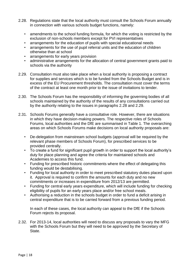- 2.28. Regulations state that the local authority must consult the Schools Forum annually in connection with various schools budget functions, namely:
	- amendments to the school funding formula, for which the voting is restricted by the exclusion of non-schools members except for PVI representatives
	- arrangements for the education of pupils with special educational needs
	- arrangements for the use of pupil referral units and the education of children otherwise than at school
	- arrangements for early years provision
	- administrative arrangements for the allocation of central government grants paid to schools via the authority
- 2.29. Consultation must also take place when a local authority is proposing a contract for supplies and services which is to be funded from the Schools Budget and is in excess of the EU Procurement thresholds. The consultation must cover the terms of the contract at least one month prior to the issue of invitations to tender.
- 2.30. The Schools Forum has the responsibility of informing the governing bodies of all schools maintained by the authority of the results of any consultations carried out by the authority relating to the issues in paragraphs 2.28 and 2.29.
- 2.31. Schools Forums generally have a consultative role. However, there are situations in which they have decision-making powers. The respective roles of Schools Forums, local authorities and the DfE are summarised in Table 1. The overarching areas on which Schools Forums make decisions on local authority proposals are:
	- De-delegation from mainstream school budgets (approval will be required by the relevant phase members of Schools Forum), for prescribed services to be provided centrally.
	- To create a fund for significant pupil growth in order to support the local authority's duty for place planning and agree the criteria for maintained schools and Academies to access this fund.
	- Funding for prescribed historic commitments where the effect of delegating this funding would be destabilising.
	- Funding for local authority in order to meet prescribed statutory duties placed upon it. Approval is required to confirm the amounts for each duty and no new commitments or increases in expenditure from 2012/13 are permitted.
	- Funding for central early years expenditure, which will include funding for checking eligibility of pupils for an early years place and/or free school meals.
	- Authorising a reduction in the schools budget in order to fund a deficit arising in central expenditure that is to be carried forward from a previous funding period.

In each of these cases, the local authority can appeal to the DfE if the Schools Forum rejects its proposal.

2.32. For 2013-14, local authorities will need to discuss any proposals to vary the MFG with the Schools Forum but they will need to be approved by the Secretary of State.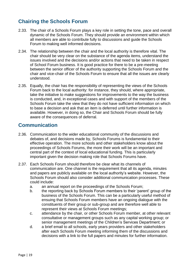# **Chairing the Schools Forum**

- 2.33. The chair of a Schools Forum plays a key role in setting the tone, pace and overall dynamic of the Schools Forum. They should provide an environment within which all members are able to contribute fully to discussions and guide the Schools Forum to making well informed decisions.
- 2.34. The relationship between the chair and the local authority is therefore vital. The chair should be very clear on the substance of the agenda items, understand the issues involved and the decisions and/or actions that need to be taken in respect of School Forum business. It is good practice for there to be a pre-meeting between the senior officer of the authority supporting the Schools Forum and the chair and vice-chair of the Schools Forum to ensure that all the issues are clearly understood.
- 2.35. Equally, the chair has the responsibility of representing the views of the Schools Forum back to the local authority: for instance, they should, where appropriate, take the initiative to make suggestions for improvements to the way the business is conducted, and, in exceptional cases and with support of the members of the Schools Forum take the view that they do not have sufficient information on which to base a decision and ask that an item is deferred until further information is available. However, in doing so, the Chair and Schools Forum should be fully aware of the consequences of deferral.

## **Communication**

- 2.36. Communication to the wider educational community of the discussions and debates of, and decisions made by, Schools Forums is fundamental to their effective operation. The more schools and other stakeholders know about the proceedings of Schools Forums, the more their work will be an important and central part of the context of local educational funding. This is particularly important given the decision making role that Schools Forums have.
- 2.37. Each Schools Forum should therefore be clear what its channels of communication are. One channel is the requirement that all its agenda, minutes and papers are publicly available on the local authority's website. However, the Schools Forum should also consider additional communication processes. These could include:
	- a. an annual report on the proceedings of the Schools Forum;
	- b. the reporting back by Schools Forum members to their 'parent' group of the business of the Schools Forum. This can be a particularly useful method of ensuing that Schools Forum members have an ongoing dialogue with the constituents of their group or sub-group and are therefore well able to represent their views at Schools Forum meetings;
	- c. attendance by the chair, or other Schools Forum member, at other relevant consultative or management groups such as any capital working group; or senior management meetings of the Children's Services Department; or
	- d. a brief email to all schools, early years providers and other stakeholders after each Schools Forum meeting informing them of the discussions and decisions with a link to the full papers and minutes for further information.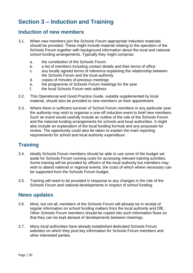# **Section 3 – Induction and Training**

#### **Induction of new members**

- 3.1. When new members join the Schools Forum appropriate induction materials should be provided. These might include material relating to the operation of the Schools Forum together with background information about the local and national school funding arrangements. Typically they might comprise:
	- a. the constitution of the Schools Forum
	- b. a list of members including contact details and their terms of office
	- c. any locally agreed terms of reference explaining the relationship between the Schools Forum and the local authority
	- d. copies of minutes of previous meetings
	- e. the programme of Schools Forum meetings for the year
	- f. the local Schools Forum web address
- 3.2. This Operational and Good Practice Guide, suitably supplemented by local material, should also be provided to new members on their appointment.
- 3.3. Where there is sufficient turnover of School Forum members in any particular year the authority may wish to organise a one-off induction event to brief new members. Such an event would usefully include an outline of the role of the Schools Forum and the national funding arrangements for schools and local authorities. It might also include an explanation of the local funding formula and any proposals for review. The opportunity could also be taken to explain the main reporting requirements for school and local authority expenditure.

## **Training**

- 3.4. Ideally Schools Forum members should be able to use some of the budget set aside for Schools Forum running costs for accessing relevant training activities. Some training will be provided by officers of the local authority but members may wish to attend national or regional events, the costs of which where necessary can be supported from the Schools Forum budget.
- 3.5. Training will need to be provided in response to any changes in the role of the Schools Forum and national developments in respect of school funding.

#### **News updates**

- 3.6. Most, but not all, members of the Schools Forum will already be in receipt of regular information on school funding matters from the local authority and DfE. Other Schools Forum members should be copied into such information flows so that they can be kept abreast of developments between meetings.
- 3.7. Many local authorities have already established dedicated Schools Forum websites on which they post key information for Schools Forum members and other interested parties.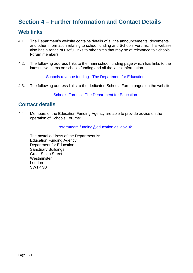# **Section 4 – Further Information and Contact Details**

#### **Web links**

- 4.1. The Department's website contains details of all the announcements, documents and other information relating to school funding and Schools Forums. This website also has a range of useful links to other sites that may be of relevance to Schools Forum members.
- 4.2. The following address links to the main school funding page which has links to the latest news items on schools funding and all the latest information.

Schools revenue funding - [The Department for Education](http://www.education.gov.uk/schools/adminandfinance/financialmanagement/schoolsrevenuefunding)

4.3. The following address links to the dedicated Schools Forum pages on the website.

Schools Forums - [The Department for Education](http://www.education.gov.uk/schools/adminandfinance/financialmanagement/schoolsrevenuefunding/schoolsforums)

#### **Contact details**

4.4 Members of the Education Funding Agency are able to provide advice on the operation of Schools Forums:

[reformteam.funding@education.gsi.gov.uk](mailto:reformteam.funding@education.gsi.gov.uk)

The postal address of the Department is: Education Funding Agency Department for Education Sanctuary Buildings Great Smith Street **Westminster** London SW1P 3BT